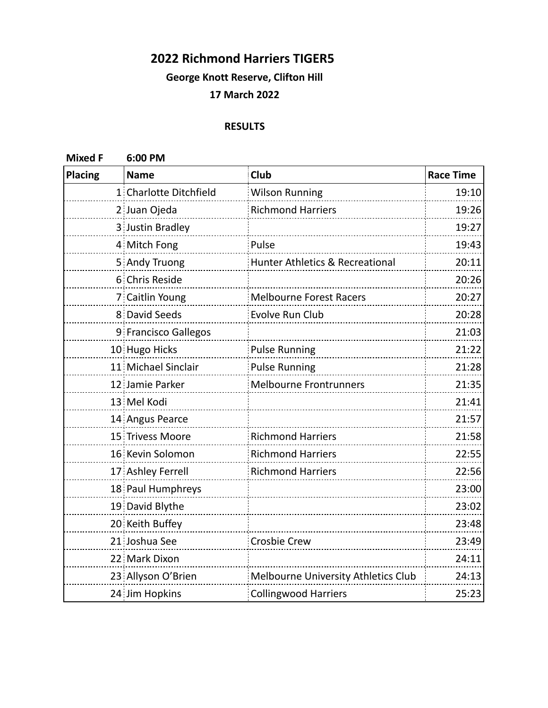## **2022 Richmond Harriers TIGER5**

**George Knott Reserve, Clifton Hill**

## **17 March 2022**

## **RESULTS**

**Mixed F 6:00 PM**

| <b>Placing</b> | <b>Name</b>            | Club                                       | <b>Race Time</b> |
|----------------|------------------------|--------------------------------------------|------------------|
|                | 1 Charlotte Ditchfield | <b>Wilson Running</b>                      | 19:10            |
|                | 2 Juan Ojeda           | <b>Richmond Harriers</b>                   | 19:26            |
|                | 3 Justin Bradley       |                                            | 19:27            |
|                | 4 Mitch Fong           | Pulse                                      | 19:43            |
|                | 5 Andy Truong          | <b>Hunter Athletics &amp; Recreational</b> | 20:11            |
|                | 6 Chris Reside         |                                            | 20:26            |
|                | 7 Caitlin Young        | <b>Melbourne Forest Racers</b>             | 20:27            |
|                | 8 David Seeds          | Evolve Run Club                            | 20:28            |
|                | 9 Francisco Gallegos   |                                            | 21:03            |
|                | 10 Hugo Hicks          | <b>Pulse Running</b>                       | 21:22            |
|                | 11 Michael Sinclair    | <b>Pulse Running</b>                       | 21:28            |
|                | 12 Jamie Parker        | <b>Melbourne Frontrunners</b>              | 21:35            |
|                | 13 Mel Kodi            |                                            | 21:41            |
|                | 14 Angus Pearce        |                                            | 21:57            |
|                | 15 Trivess Moore       | <b>Richmond Harriers</b>                   | 21:58            |
|                | 16 Kevin Solomon       | <b>Richmond Harriers</b>                   | 22:55            |
|                | 17 Ashley Ferrell      | <b>Richmond Harriers</b>                   | 22:56            |
|                | 18 Paul Humphreys      |                                            | 23:00            |
|                | 19 David Blythe        |                                            | 23:02            |
|                | 20 Keith Buffey        |                                            | 23:48            |
|                | 21 Joshua See          | <b>Crosbie Crew</b>                        | 23:49            |
|                | 22 Mark Dixon          |                                            | 24:11            |
|                | 23 Allyson O'Brien     | Melbourne University Athletics Club        | 24:13            |
|                | 24 Jim Hopkins         | <b>Collingwood Harriers</b>                | 25:23            |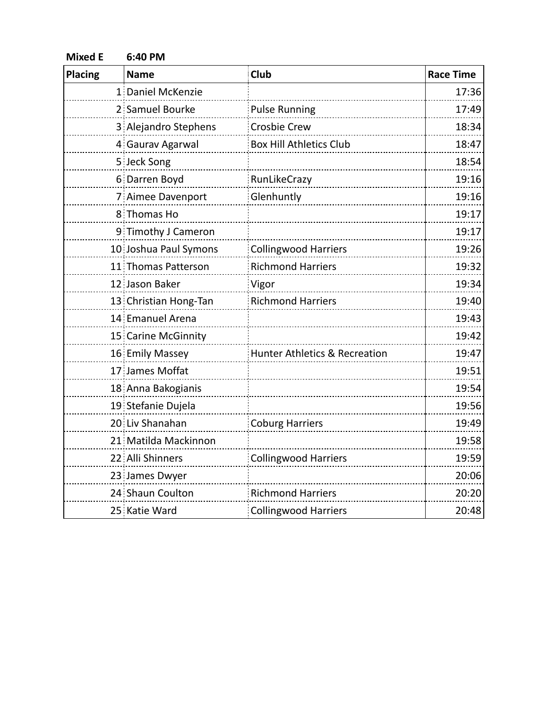| <b>Mixed E</b> | 6:40 PM               |                                          |                  |
|----------------|-----------------------|------------------------------------------|------------------|
| Placing        | <b>Name</b>           | <b>Club</b>                              | <b>Race Time</b> |
|                | 1 Daniel McKenzie     |                                          | 17:36            |
|                | 2 Samuel Bourke       | <b>Pulse Running</b>                     | 17:49            |
|                | 3 Alejandro Stephens  | <b>Crosbie Crew</b>                      | 18:34            |
|                | 4 Gaurav Agarwal      | <b>Box Hill Athletics Club</b>           | 18:47            |
|                | 5 Jeck Song           |                                          | 18:54            |
|                | 6 Darren Boyd         | RunLikeCrazy                             | 19:16            |
|                | 7 Aimee Davenport     | Glenhuntly                               | 19:16            |
|                | 8 Thomas Ho           |                                          | 19:17            |
|                | 9 Timothy J Cameron   |                                          | 19:17            |
|                | 10 Joshua Paul Symons | <b>Collingwood Harriers</b>              | 19:26            |
|                | 11 Thomas Patterson   | <b>Richmond Harriers</b>                 | 19:32            |
|                | 12 Jason Baker        | Vigor                                    | 19:34            |
|                | 13 Christian Hong-Tan | <b>Richmond Harriers</b>                 | 19:40            |
|                | 14 Emanuel Arena      |                                          | 19:43            |
|                | 15 Carine McGinnity   |                                          | 19:42            |
|                | 16 Emily Massey       | <b>Hunter Athletics &amp; Recreation</b> | 19:47            |
|                | 17 James Moffat       |                                          | 19:51            |
|                | 18 Anna Bakogianis    |                                          | 19:54            |
|                | 19 Stefanie Dujela    |                                          | 19:56            |
|                | 20 Liv Shanahan       | <b>Coburg Harriers</b>                   | 19:49            |
|                | 21 Matilda Mackinnon  |                                          | 19:58            |
|                | 22 Alli Shinners      | <b>Collingwood Harriers</b>              | 19:59            |
|                | 23 James Dwyer        |                                          | 20:06            |
|                | 24 Shaun Coulton      | <b>Richmond Harriers</b>                 | 20:20            |
|                | 25 Katie Ward         | <b>Collingwood Harriers</b>              | 20:48            |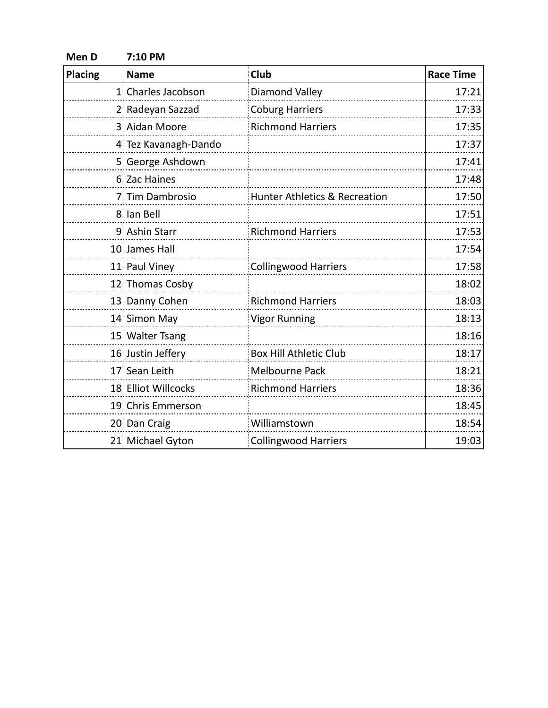| Men D          | 7:10 PM              |                               |                  |
|----------------|----------------------|-------------------------------|------------------|
| <b>Placing</b> | <b>Name</b>          | Club                          | <b>Race Time</b> |
|                | 1 Charles Jacobson   | Diamond Valley                | 17:21            |
|                | 2 Radeyan Sazzad     | <b>Coburg Harriers</b>        | 17:33            |
|                | 3 Aidan Moore        | <b>Richmond Harriers</b>      | 17:35            |
|                | 4 Tez Kavanagh-Dando |                               | 17:37            |
|                | 5 George Ashdown     |                               | 17:41            |
|                | 6 Zac Haines         |                               | 17:48            |
|                | 7 Tim Dambrosio      | Hunter Athletics & Recreation | 17:50            |
|                | 8 Ian Bell           |                               | 17:51            |
|                | 9 Ashin Starr        | <b>Richmond Harriers</b>      | 17:53            |
|                | 10 James Hall        |                               | 17:54            |
|                | 11 Paul Viney        | <b>Collingwood Harriers</b>   | 17:58            |
|                | 12 Thomas Cosby      |                               | 18:02            |
|                | 13 Danny Cohen       | <b>Richmond Harriers</b>      | 18:03            |
|                | 14 Simon May         | <b>Vigor Running</b>          | 18:13            |
|                | 15 Walter Tsang      |                               | 18:16            |
|                | 16 Justin Jeffery    | <b>Box Hill Athletic Club</b> | 18:17            |
|                | 17 Sean Leith        | <b>Melbourne Pack</b>         | 18:21            |
|                | 18 Elliot Willcocks  | <b>Richmond Harriers</b>      | 18:36            |
|                | 19 Chris Emmerson    |                               | 18:45            |
|                | 20 Dan Craig         | Williamstown                  | 18:54            |
|                | 21 Michael Gyton     | <b>Collingwood Harriers</b>   | 19:03            |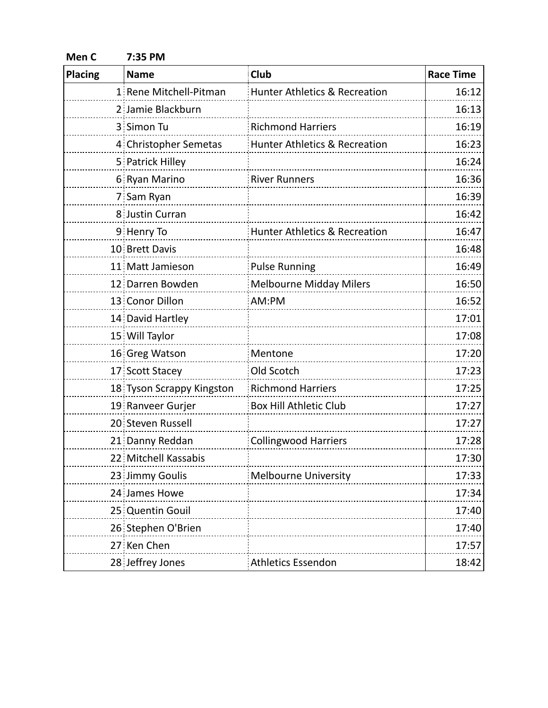| Men <sub>C</sub> | 7:35 PM                   |                                          |                  |  |
|------------------|---------------------------|------------------------------------------|------------------|--|
| <b>Placing</b>   | <b>Name</b>               | Club                                     | <b>Race Time</b> |  |
|                  | 1 Rene Mitchell-Pitman    | Hunter Athletics & Recreation            | 16:12            |  |
|                  | 2 Jamie Blackburn         |                                          | 16:13            |  |
|                  | 3 Simon Tu                | <b>Richmond Harriers</b>                 | 16:19            |  |
|                  | 4 Christopher Semetas     | <b>Hunter Athletics &amp; Recreation</b> | 16:23            |  |
|                  | 5 Patrick Hilley          |                                          | 16:24            |  |
|                  | 6 Ryan Marino             | <b>River Runners</b>                     | 16:36            |  |
|                  | 7 Sam Ryan                |                                          | 16:39            |  |
|                  | 8 Justin Curran           |                                          | 16:42            |  |
|                  | 9 Henry To                | Hunter Athletics & Recreation            | 16:47            |  |
|                  | 10 Brett Davis            |                                          | 16:48            |  |
|                  | 11 Matt Jamieson          | <b>Pulse Running</b>                     | 16:49            |  |
|                  | 12 Darren Bowden          | <b>Melbourne Midday Milers</b>           | 16:50            |  |
|                  | 13 Conor Dillon           | AM:PM                                    | 16:52            |  |
|                  | 14 David Hartley          |                                          | 17:01            |  |
|                  | 15 Will Taylor            |                                          | 17:08            |  |
|                  | 16 Greg Watson            | Mentone                                  | 17:20            |  |
|                  | 17 Scott Stacey           | Old Scotch                               | 17:23            |  |
|                  | 18 Tyson Scrappy Kingston | <b>Richmond Harriers</b>                 | 17:25            |  |
|                  | 19 Ranveer Gurjer         | <b>Box Hill Athletic Club</b>            | 17:27            |  |
|                  | 20 Steven Russell         |                                          | 17:27            |  |
|                  | 21 Danny Reddan           | <b>Collingwood Harriers</b>              | 17:28            |  |
|                  | 22 Mitchell Kassabis      |                                          | 17:30            |  |
|                  | 23 Jimmy Goulis           | <b>Melbourne University</b>              | 17:33            |  |
|                  | 24 James Howe             |                                          | 17:34            |  |
|                  | 25 Quentin Gouil          |                                          | 17:40            |  |
|                  | 26 Stephen O'Brien        |                                          | 17:40            |  |
|                  | 27 Ken Chen               |                                          | 17:57            |  |
|                  | 28 Jeffrey Jones          | <b>Athletics Essendon</b>                | 18:42            |  |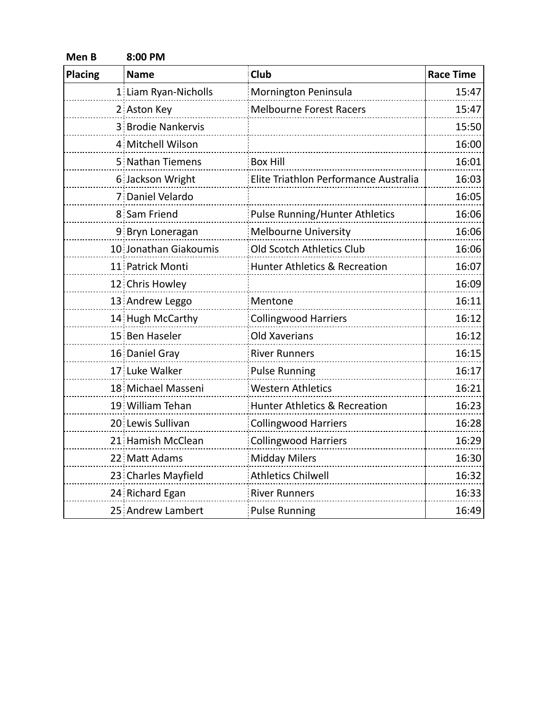| Men B          | 8:00 PM               |                                          |                  |  |
|----------------|-----------------------|------------------------------------------|------------------|--|
| <b>Placing</b> | <b>Name</b>           | Club                                     | <b>Race Time</b> |  |
|                | 1 Liam Ryan-Nicholls  | Mornington Peninsula                     | 15:47            |  |
|                | 2 Aston Key           | <b>Melbourne Forest Racers</b>           | 15:47            |  |
|                | 3 Brodie Nankervis    |                                          | 15:50            |  |
|                | 4 Mitchell Wilson     |                                          | 16:00            |  |
|                | 5 Nathan Tiemens      | <b>Box Hill</b>                          | 16:01            |  |
|                | 6 Jackson Wright      | Elite Triathlon Performance Australia    | 16:03            |  |
|                | 7 Daniel Velardo      |                                          | 16:05            |  |
|                | 8 Sam Friend          | <b>Pulse Running/Hunter Athletics</b>    | 16:06            |  |
|                | 9 Bryn Loneragan      | Melbourne University                     | 16:06            |  |
|                | 10 Jonathan Giakoumis | Old Scotch Athletics Club                | 16:06            |  |
|                | 11 Patrick Monti      | <b>Hunter Athletics &amp; Recreation</b> | 16:07            |  |
|                | 12 Chris Howley       |                                          | 16:09            |  |
|                | 13 Andrew Leggo       | Mentone                                  | 16:11            |  |
|                | 14 Hugh McCarthy      | <b>Collingwood Harriers</b>              | 16:12            |  |
|                | 15 Ben Haseler        | Old Xaverians                            | 16:12            |  |
|                | 16 Daniel Gray        | <b>River Runners</b>                     | 16:15            |  |
|                | 17 Luke Walker        | <b>Pulse Running</b>                     | 16:17            |  |
|                | 18 Michael Masseni    | <b>Western Athletics</b>                 | 16:21            |  |
|                | 19 William Tehan      | <b>Hunter Athletics &amp; Recreation</b> | 16:23            |  |
|                | 20 Lewis Sullivan     | <b>Collingwood Harriers</b>              | 16:28            |  |
|                | 21 Hamish McClean     | <b>Collingwood Harriers</b>              | 16:29            |  |
|                | 22 Matt Adams         | <b>Midday Milers</b>                     | 16:30            |  |
|                | 23 Charles Mayfield   | <b>Athletics Chilwell</b>                | 16:32            |  |
|                | 24 Richard Egan       | <b>River Runners</b>                     | 16:33            |  |
|                | 25 Andrew Lambert     | <b>Pulse Running</b>                     | 16:49            |  |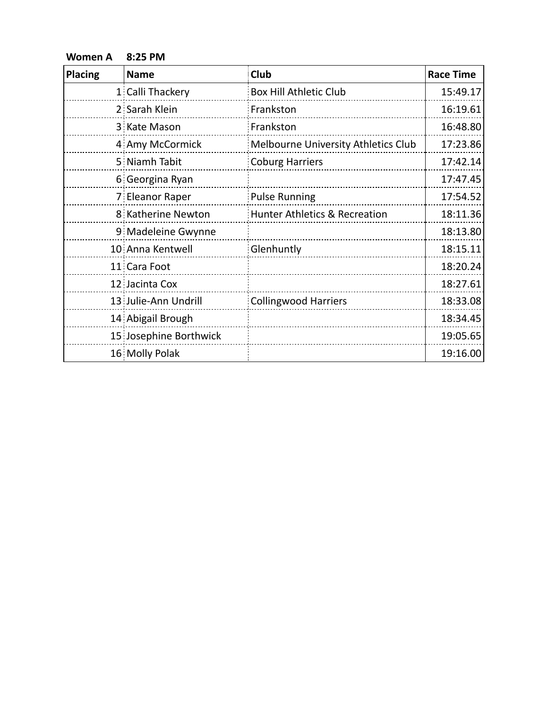**Women A 8:25 PM**

| <b>Placing</b> | <b>Name</b>            | Club                                | <b>Race Time</b> |
|----------------|------------------------|-------------------------------------|------------------|
|                | 1 Calli Thackery       | <b>Box Hill Athletic Club</b>       | 15:49.17         |
|                | 2 Sarah Klein          | Frankston                           | 16:19.61         |
|                | 3 Kate Mason           | Frankston                           | 16:48.80         |
|                | 4 Amy McCormick        | Melbourne University Athletics Club | 17:23.86         |
|                | 5 Niamh Tabit          | <b>Coburg Harriers</b>              | 17:42.14         |
|                | 6 Georgina Ryan        |                                     | 17:47.45         |
|                | 7 Eleanor Raper        | <b>Pulse Running</b>                | 17:54.52         |
|                | 8 Katherine Newton     | Hunter Athletics & Recreation       | 18:11.36         |
|                | 9 Madeleine Gwynne     |                                     | 18:13.80         |
|                | 10 Anna Kentwell       | Glenhuntly                          | 18:15.11         |
|                | 11 Cara Foot           |                                     | 18:20.24         |
|                | 12 Jacinta Cox         |                                     | 18:27.61         |
|                | 13 Julie-Ann Undrill   | <b>Collingwood Harriers</b>         | 18:33.08         |
|                | 14 Abigail Brough      |                                     | 18:34.45         |
|                | 15 Josephine Borthwick |                                     | 19:05.65         |
|                | 16 Molly Polak         |                                     | 19:16.00         |